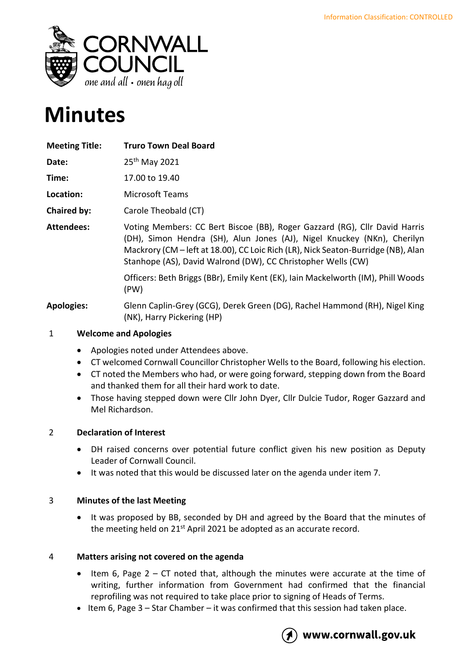

# **Minutes**

| <b>Meeting Title:</b> | <b>Truro Town Deal Board</b>                                                                                                                                                                                                                                                                               |
|-----------------------|------------------------------------------------------------------------------------------------------------------------------------------------------------------------------------------------------------------------------------------------------------------------------------------------------------|
| Date:                 | 25 <sup>th</sup> May 2021                                                                                                                                                                                                                                                                                  |
| Time:                 | 17.00 to 19.40                                                                                                                                                                                                                                                                                             |
| Location:             | <b>Microsoft Teams</b>                                                                                                                                                                                                                                                                                     |
| Chaired by:           | Carole Theobald (CT)                                                                                                                                                                                                                                                                                       |
| Attendees:            | Voting Members: CC Bert Biscoe (BB), Roger Gazzard (RG), Cllr David Harris<br>(DH), Simon Hendra (SH), Alun Jones (AJ), Nigel Knuckey (NKn), Cherilyn<br>Mackrory (CM – left at 18.00), CC Loic Rich (LR), Nick Seaton-Burridge (NB), Alan<br>Stanhope (AS), David Walrond (DW), CC Christopher Wells (CW) |
|                       | Officers: Beth Briggs (BBr), Emily Kent (EK), Iain Mackelworth (IM), Phill Woods<br>(PW)                                                                                                                                                                                                                   |
| <b>Apologies:</b>     | Glenn Caplin-Grey (GCG), Derek Green (DG), Rachel Hammond (RH), Nigel King<br>(NK), Harry Pickering (HP)                                                                                                                                                                                                   |

# 1 **Welcome and Apologies**

- Apologies noted under Attendees above.
- CT welcomed Cornwall Councillor Christopher Wells to the Board, following his election.
- CT noted the Members who had, or were going forward, stepping down from the Board and thanked them for all their hard work to date.
- Those having stepped down were Cllr John Dyer, Cllr Dulcie Tudor, Roger Gazzard and Mel Richardson.

# 2 **Declaration of Interest**

- DH raised concerns over potential future conflict given his new position as Deputy Leader of Cornwall Council.
- It was noted that this would be discussed later on the agenda under item 7.

# 3 **Minutes of the last Meeting**

• It was proposed by BB, seconded by DH and agreed by the Board that the minutes of the meeting held on 21<sup>st</sup> April 2021 be adopted as an accurate record.

# 4 **Matters arising not covered on the agenda**

- Item 6, Page  $2 CT$  noted that, although the minutes were accurate at the time of writing, further information from Government had confirmed that the financial reprofiling was not required to take place prior to signing of Heads of Terms.
- Item 6, Page 3 Star Chamber it was confirmed that this session had taken place.



# www.cornwall.gov.uk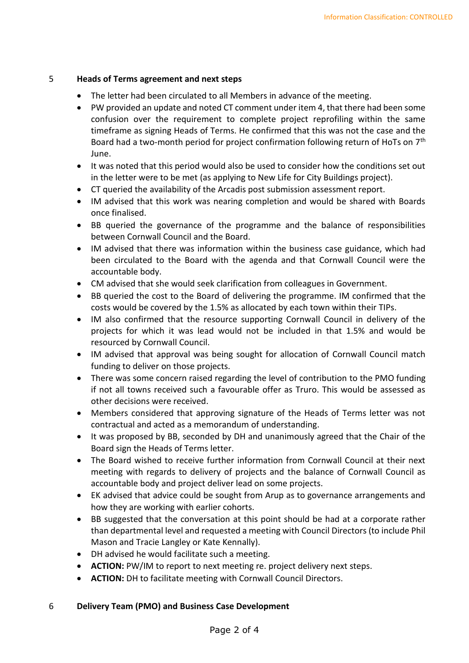#### 5 **Heads of Terms agreement and next steps**

- The letter had been circulated to all Members in advance of the meeting.
- PW provided an update and noted CT comment under item 4, that there had been some confusion over the requirement to complete project reprofiling within the same timeframe as signing Heads of Terms. He confirmed that this was not the case and the Board had a two-month period for project confirmation following return of HoTs on 7<sup>th</sup> June.
- It was noted that this period would also be used to consider how the conditions set out in the letter were to be met (as applying to New Life for City Buildings project).
- CT queried the availability of the Arcadis post submission assessment report.
- IM advised that this work was nearing completion and would be shared with Boards once finalised.
- BB queried the governance of the programme and the balance of responsibilities between Cornwall Council and the Board.
- IM advised that there was information within the business case guidance, which had been circulated to the Board with the agenda and that Cornwall Council were the accountable body.
- CM advised that she would seek clarification from colleagues in Government.
- BB queried the cost to the Board of delivering the programme. IM confirmed that the costs would be covered by the 1.5% as allocated by each town within their TIPs.
- IM also confirmed that the resource supporting Cornwall Council in delivery of the projects for which it was lead would not be included in that 1.5% and would be resourced by Cornwall Council.
- IM advised that approval was being sought for allocation of Cornwall Council match funding to deliver on those projects.
- There was some concern raised regarding the level of contribution to the PMO funding if not all towns received such a favourable offer as Truro. This would be assessed as other decisions were received.
- Members considered that approving signature of the Heads of Terms letter was not contractual and acted as a memorandum of understanding.
- It was proposed by BB, seconded by DH and unanimously agreed that the Chair of the Board sign the Heads of Terms letter.
- The Board wished to receive further information from Cornwall Council at their next meeting with regards to delivery of projects and the balance of Cornwall Council as accountable body and project deliver lead on some projects.
- EK advised that advice could be sought from Arup as to governance arrangements and how they are working with earlier cohorts.
- BB suggested that the conversation at this point should be had at a corporate rather than departmental level and requested a meeting with Council Directors (to include Phil Mason and Tracie Langley or Kate Kennally).
- DH advised he would facilitate such a meeting.
- **ACTION:** PW/IM to report to next meeting re. project delivery next steps.
- **ACTION:** DH to facilitate meeting with Cornwall Council Directors.

# 6 **Delivery Team (PMO) and Business Case Development**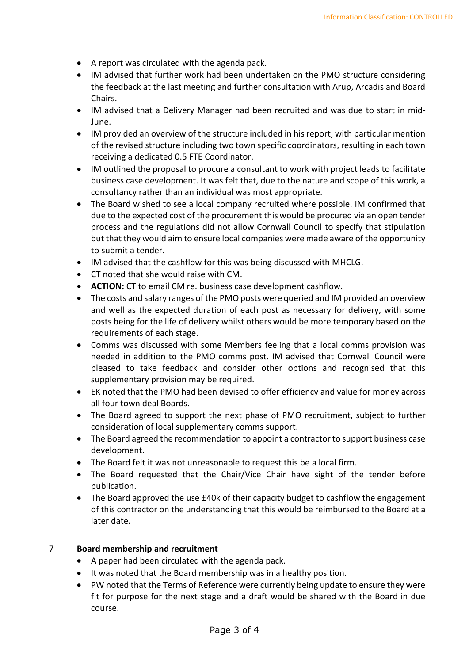- A report was circulated with the agenda pack.
- IM advised that further work had been undertaken on the PMO structure considering the feedback at the last meeting and further consultation with Arup, Arcadis and Board Chairs.
- IM advised that a Delivery Manager had been recruited and was due to start in mid-June.
- IM provided an overview of the structure included in his report, with particular mention of the revised structure including two town specific coordinators, resulting in each town receiving a dedicated 0.5 FTE Coordinator.
- IM outlined the proposal to procure a consultant to work with project leads to facilitate business case development. It was felt that, due to the nature and scope of this work, a consultancy rather than an individual was most appropriate.
- The Board wished to see a local company recruited where possible. IM confirmed that due to the expected cost of the procurement this would be procured via an open tender process and the regulations did not allow Cornwall Council to specify that stipulation but that they would aim to ensure local companies were made aware of the opportunity to submit a tender.
- IM advised that the cashflow for this was being discussed with MHCLG.
- CT noted that she would raise with CM.
- **ACTION:** CT to email CM re. business case development cashflow.
- The costs and salary ranges of the PMO posts were queried and IM provided an overview and well as the expected duration of each post as necessary for delivery, with some posts being for the life of delivery whilst others would be more temporary based on the requirements of each stage.
- Comms was discussed with some Members feeling that a local comms provision was needed in addition to the PMO comms post. IM advised that Cornwall Council were pleased to take feedback and consider other options and recognised that this supplementary provision may be required.
- EK noted that the PMO had been devised to offer efficiency and value for money across all four town deal Boards.
- The Board agreed to support the next phase of PMO recruitment, subject to further consideration of local supplementary comms support.
- The Board agreed the recommendation to appoint a contractor to support business case development.
- The Board felt it was not unreasonable to request this be a local firm.
- The Board requested that the Chair/Vice Chair have sight of the tender before publication.
- The Board approved the use £40k of their capacity budget to cashflow the engagement of this contractor on the understanding that this would be reimbursed to the Board at a later date.

#### 7 **Board membership and recruitment**

- A paper had been circulated with the agenda pack.
- It was noted that the Board membership was in a healthy position.
- PW noted that the Terms of Reference were currently being update to ensure they were fit for purpose for the next stage and a draft would be shared with the Board in due course.